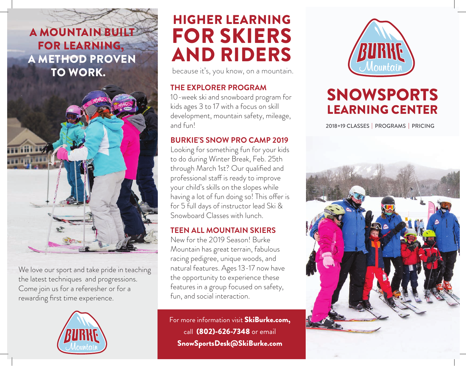## A MOUNTAIN BUILT FOR LEARNING, A METHOD PROVEN TO WORK.



Come join us for a referesher or for a rewarding first time experience. We love our sport and take pride in teaching the latest techniques and progressions.



# HIGHER LEARNING FOR SKIERS AND RIDERS

because it's, you know, on a mountain.

### **THE EXPLORER PROGRAM**

10-week ski and snowboard program for kids ages 3 to 17 with a focus on skill development, mountain safety, mileage, and fun!

### **BURKIE'S SNOW PRO CAMP 2019**

Looking for something fun for your kids to do during Winter Break, Feb. 25th through March 1st? Our qualified and professional staff is ready to improve your child's skills on the slopes while having a lot of fun doing so! This offer is for 5 full days of instructor lead Ski & Snowboard Classes with lunch.

### **TEEN ALL MOUNTAIN SKIERS**

New for the 2019 Season! Burke Mountain has great terrain, fabulous racing pedigree, unique woods, and natural features. Ages 13-17 now have the opportunity to experience these features in a group focused on safety, fun, and social interaction.

For more information visit SkiBurke.com, call (802)-626-7348 or email SnowSportsDesk@SkiBurke.com



## SNOWSPORTS LEARNING CENTER

2018+19 CLASSES | PROGRAMS | PRICING